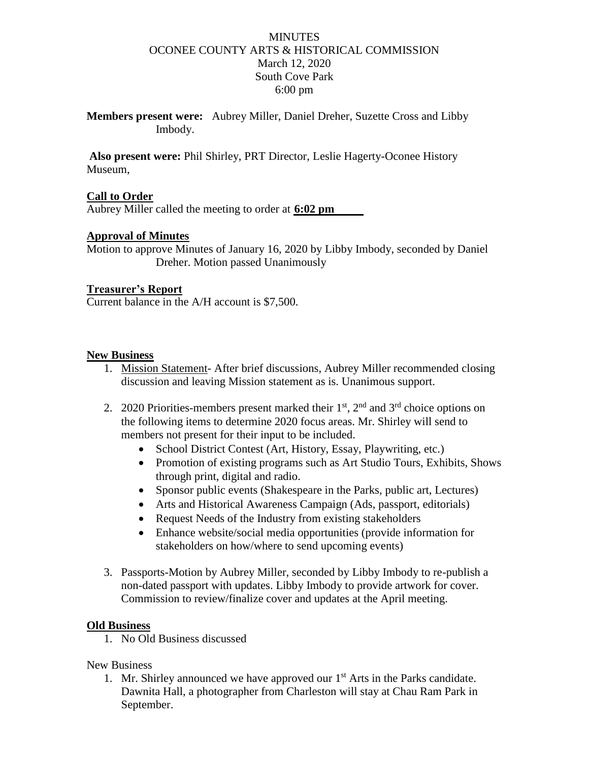# **MINUTES** OCONEE COUNTY ARTS & HISTORICAL COMMISSION March 12, 2020 South Cove Park 6:00 pm

**Members present were:** Aubrey Miller, Daniel Dreher, Suzette Cross and Libby Imbody.

**Also present were:** Phil Shirley, PRT Director, Leslie Hagerty-Oconee History Museum,

## **Call to Order**

Aubrey Miller called the meeting to order at **6:02 pm**

## **Approval of Minutes**

Motion to approve Minutes of January 16, 2020 by Libby Imbody, seconded by Daniel Dreher. Motion passed Unanimously

#### **Treasurer's Report**

Current balance in the A/H account is \$7,500.

#### **New Business**

- 1. Mission Statement- After brief discussions, Aubrey Miller recommended closing discussion and leaving Mission statement as is. Unanimous support.
- 2. 2020 Priorities-members present marked their  $1<sup>st</sup>$ ,  $2<sup>nd</sup>$  and  $3<sup>rd</sup>$  choice options on the following items to determine 2020 focus areas. Mr. Shirley will send to members not present for their input to be included.
	- School District Contest (Art, History, Essay, Playwriting, etc.)
	- Promotion of existing programs such as Art Studio Tours, Exhibits, Shows through print, digital and radio.
	- Sponsor public events (Shakespeare in the Parks, public art, Lectures)
	- Arts and Historical Awareness Campaign (Ads, passport, editorials)
	- Request Needs of the Industry from existing stakeholders
	- Enhance website/social media opportunities (provide information for stakeholders on how/where to send upcoming events)
- 3. Passports-Motion by Aubrey Miller, seconded by Libby Imbody to re-publish a non-dated passport with updates. Libby Imbody to provide artwork for cover. Commission to review/finalize cover and updates at the April meeting.

#### **Old Business**

1. No Old Business discussed

## New Business

1. Mr. Shirley announced we have approved our  $1<sup>st</sup>$  Arts in the Parks candidate. Dawnita Hall, a photographer from Charleston will stay at Chau Ram Park in September.